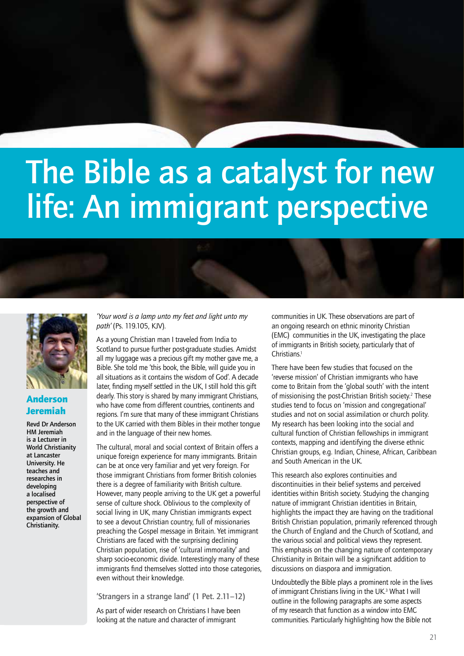# The Bible as a catalyst for new life: An immigrant perspective



### Anderson Jeremiah

Revd Dr Anderson HM Jeremiah is a Lecturer in World Christianity at Lancaster University. He teaches and researches in developing a localised perspective of the growth and expansion of Global Christianity.

*'Your word is a lamp unto my feet and light unto my path'* (Ps. 119.105, KJV).

As a young Christian man I traveled from India to Scotland to pursue further post-graduate studies. Amidst all my luggage was a precious gift my mother gave me, a Bible. She told me 'this book, the Bible, will guide you in all situations as it contains the wisdom of God'. A decade later, finding myself settled in the UK, I still hold this gift dearly. This story is shared by many immigrant Christians, who have come from different countries, continents and regions. I'm sure that many of these immigrant Christians to the UK carried with them Bibles in their mother tongue and in the language of their new homes.

The cultural, moral and social context of Britain offers a unique foreign experience for many immigrants. Britain can be at once very familiar and yet very foreign. For those immigrant Christians from former British colonies there is a degree of familiarity with British culture. However, many people arriving to the UK get a powerful sense of culture shock. Oblivious to the complexity of social living in UK, many Christian immigrants expect to see a devout Christian country, full of missionaries preaching the Gospel message in Britain. Yet immigrant Christians are faced with the surprising declining Christian population, rise of 'cultural immorality' and sharp socio-economic divide. Interestingly many of these immigrants find themselves slotted into those categories. even without their knowledge.

'Strangers in a strange land' (1 Pet. 2.11–12)

As part of wider research on Christians I have been looking at the nature and character of immigrant

communities in UK. These observations are part of an ongoing research on ethnic minority Christian (EMC) communities in the UK, investigating the place of immigrants in British society, particularly that of Christians.<sup>1</sup>

There have been few studies that focused on the 'reverse mission' of Christian immigrants who have come to Britain from the 'global south' with the intent of missionising the post-Christian British society.<sup>2</sup> These studies tend to focus on 'mission and congregational' studies and not on social assimilation or church polity. My research has been looking into the social and cultural function of Christian fellowships in immigrant contexts, mapping and identifying the diverse ethnic Christian groups, e.g. Indian, Chinese, African, Caribbean and South American in the UK.

This research also explores continuities and discontinuities in their belief systems and perceived identities within British society. Studying the changing nature of immigrant Christian identities in Britain, highlights the impact they are having on the traditional British Christian population, primarily referenced through the Church of England and the Church of Scotland, and the various social and political views they represent. This emphasis on the changing nature of contemporary Christianity in Britain will be a significant addition to discussions on diaspora and immigration.

Undoubtedly the Bible plays a prominent role in the lives of immigrant Christians living in the UK.<sup>3</sup> What I will outline in the following paragraphs are some aspects of my research that function as a window into EMC communities. Particularly highlighting how the Bible not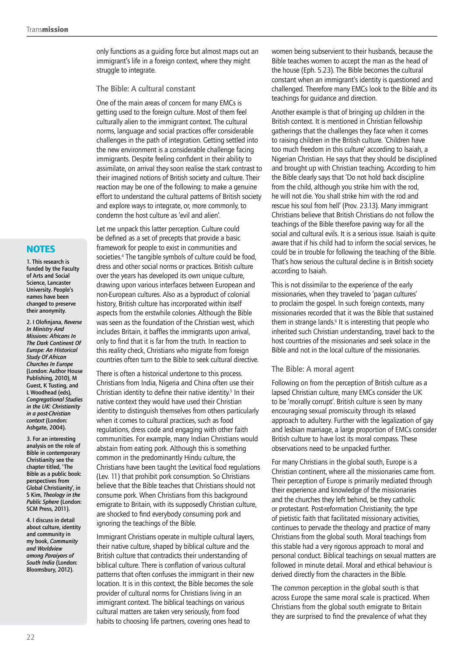only functions as a guiding force but almost maps out an immigrant's life in a foreign context, where they might struggle to integrate.

#### The Bible: A cultural constant

One of the main areas of concern for many EMCs is getting used to the foreign culture. Most of them feel culturally alien to the immigrant context. The cultural norms, language and social practices offer considerable challenges in the path of integration. Getting settled into the new environment is a considerable challenge facing immigrants. Despite feeling confident in their ability to assimilate, on arrival they soon realise the stark contrast to their imagined notions of British society and culture. Their reaction may be one of the following: to make a genuine effort to understand the cultural patterns of British society and explore ways to integrate, or, more commonly, to condemn the host culture as 'evil and alien'.

Let me unpack this latter perception. Culture could be defined as a set of precepts that provide a basic framework for people to exist in communities and societies.4 The tangible symbols of culture could be food, dress and other social norms or practices. British culture over the years has developed its own unique culture, drawing upon various interfaces between European and non-European cultures. Also as a byproduct of colonial history, British culture has incorporated within itself aspects from the erstwhile colonies. Although the Bible was seen as the foundation of the Christian west, which includes Britain, it baffles the immigrants upon arrival, only to find that it is far from the truth. In reaction to this reality check, Christians who migrate from foreign countries often turn to the Bible to seek cultural directive.

There is often a historical undertone to this process. Christians from India, Nigeria and China often use their Christian identity to define their native identity.<sup>5</sup> In their native context they would have used their Christian identity to distinguish themselves from others particularly when it comes to cultural practices, such as food regulations, dress code and engaging with other faith communities. For example, many Indian Christians would abstain from eating pork. Although this is something common in the predominantly Hindu culture, the Christians have been taught the Levitical food regulations (Lev. 11) that prohibit pork consumption. So Christians believe that the Bible teaches that Christians should not consume pork. When Christians from this background emigrate to Britain, with its supposedly Christian culture, are shocked to find everybody consuming pork and ignoring the teachings of the Bible.

Immigrant Christians operate in multiple cultural layers, their native culture, shaped by biblical culture and the British culture that contradicts their understanding of biblical culture. There is conflation of various cultural patterns that often confuses the immigrant in their new location. It is in this context, the Bible becomes the sole provider of cultural norms for Christians living in an immigrant context. The biblical teachings on various cultural matters are taken very seriously, from food habits to choosing life partners, covering ones head to

women being subservient to their husbands, because the Bible teaches women to accept the man as the head of the house (Eph. 5.23). The Bible becomes the cultural constant when an immigrant's identity is questioned and challenged. Therefore many EMCs look to the Bible and its teachings for guidance and direction.

Another example is that of bringing up children in the British context. It is mentioned in Christian fellowship gatherings that the challenges they face when it comes to raising children in the British culture. 'Children have too much freedom in this culture' according to Isaiah, a Nigerian Christian. He says that they should be disciplined and brought up with Christian teaching. According to him the Bible clearly says that 'Do not hold back discipline from the child, although you strike him with the rod, he will not die. You shall strike him with the rod and rescue his soul from hell' (Prov. 23.13). Many immigrant Christians believe that British Christians do not follow the teachings of the Bible therefore paving way for all the social and cultural evils. It is a serious issue. Isaiah is quite aware that if his child had to inform the social services, he could be in trouble for following the teaching of the Bible. That's how serious the cultural decline is in British society according to Isaiah.

This is not dissimilar to the experience of the early missionaries, when they traveled to 'pagan cultures' to proclaim the gospel. In such foreign contexts, many missionaries recorded that it was the Bible that sustained them in strange lands.<sup>6</sup> It is interesting that people who inherited such Christian understanding, travel back to the host countries of the missionaries and seek solace in the Bible and not in the local culture of the missionaries.

#### The Bible: A moral agent

Following on from the perception of British culture as a lapsed Christian culture, many EMCs consider the UK to be 'morally corrupt'. British culture is seen by many encouraging sexual promiscuity through its relaxed approach to adultery. Further with the legalization of gay and lesbian marriage, a large proportion of EMCs consider British culture to have lost its moral compass. These observations need to be unpacked further.

For many Christians in the global south, Europe is a Christian continent, where all the missionaries came from. Their perception of Europe is primarily mediated through their experience and knowledge of the missionaries and the churches they left behind, be they catholic or protestant. Post-reformation Christianity, the type of pietistic faith that facilitated missionary activities, continues to pervade the theology and practice of many Christians from the global south. Moral teachings from this stable had a very rigorous approach to moral and personal conduct. Biblical teachings on sexual matters are followed in minute detail. Moral and ethical behaviour is derived directly from the characters in the Bible.

The common perception in the global south is that across Europe the same moral scale is practiced. When Christians from the global south emigrate to Britain they are surprised to find the prevalence of what they

## **NOTES**

1. This research is funded by the Faculty of Arts and Social Science, Lancaster University. People's names have been changed to preserve their anonymity.

2. I Olofinjana, *Reverse In Ministry And Missions: Africans In The Dark Continent Of Europe: An Historical Study Of African Churches In Europe* (London: Author House Publishing, 2010), M Guest, K Tusting, and L Woodhead (eds), *Congregational Studies in the UK: Christianity in a post-Christian context* (London: Ashgate, 2004).

3. For an interesting analysis on the role of Bible in contemporary Christianity see the chapter titled, 'The Bible as a public book: perspectives from Global Christianity', in S Kim, *Theology in the Public Sphere* (London: SCM Press, 2011).

4. I discuss in detail about culture, identity and community in my book, *Community and Worldview among Paraiyars of South India* (London: Bloomsbury, 2012).